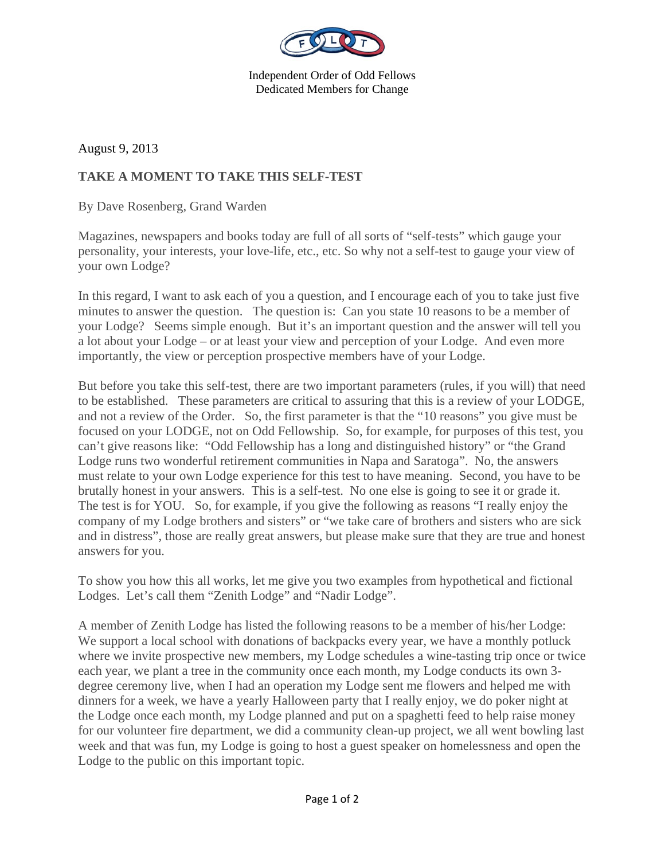

Independent Order of Odd Fellows Dedicated Members for Change

August 9, 2013

## **TAKE A MOMENT TO TAKE THIS SELF-TEST**

By Dave Rosenberg, Grand Warden

Magazines, newspapers and books today are full of all sorts of "self-tests" which gauge your personality, your interests, your love-life, etc., etc. So why not a self-test to gauge your view of your own Lodge?

In this regard, I want to ask each of you a question, and I encourage each of you to take just five minutes to answer the question. The question is: Can you state 10 reasons to be a member of your Lodge? Seems simple enough. But it's an important question and the answer will tell you a lot about your Lodge – or at least your view and perception of your Lodge. And even more importantly, the view or perception prospective members have of your Lodge.

But before you take this self-test, there are two important parameters (rules, if you will) that need to be established. These parameters are critical to assuring that this is a review of your LODGE, and not a review of the Order. So, the first parameter is that the "10 reasons" you give must be focused on your LODGE, not on Odd Fellowship. So, for example, for purposes of this test, you can't give reasons like: "Odd Fellowship has a long and distinguished history" or "the Grand Lodge runs two wonderful retirement communities in Napa and Saratoga". No, the answers must relate to your own Lodge experience for this test to have meaning. Second, you have to be brutally honest in your answers. This is a self-test. No one else is going to see it or grade it. The test is for YOU. So, for example, if you give the following as reasons "I really enjoy the company of my Lodge brothers and sisters" or "we take care of brothers and sisters who are sick and in distress", those are really great answers, but please make sure that they are true and honest answers for you.

To show you how this all works, let me give you two examples from hypothetical and fictional Lodges. Let's call them "Zenith Lodge" and "Nadir Lodge".

A member of Zenith Lodge has listed the following reasons to be a member of his/her Lodge: We support a local school with donations of backpacks every year, we have a monthly potluck where we invite prospective new members, my Lodge schedules a wine-tasting trip once or twice each year, we plant a tree in the community once each month, my Lodge conducts its own 3 degree ceremony live, when I had an operation my Lodge sent me flowers and helped me with dinners for a week, we have a yearly Halloween party that I really enjoy, we do poker night at the Lodge once each month, my Lodge planned and put on a spaghetti feed to help raise money for our volunteer fire department, we did a community clean-up project, we all went bowling last week and that was fun, my Lodge is going to host a guest speaker on homelessness and open the Lodge to the public on this important topic.